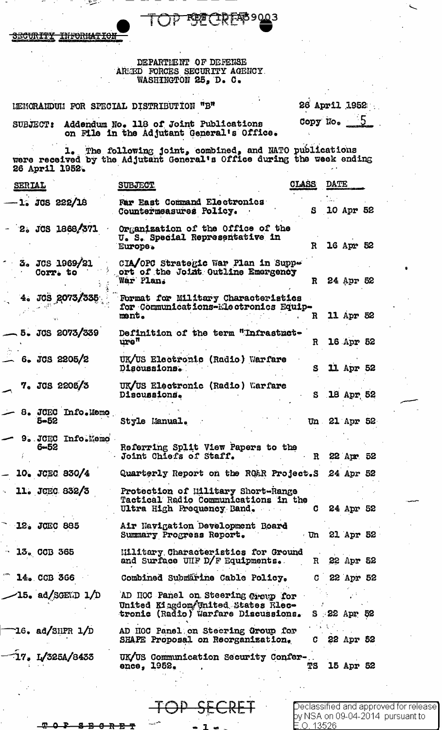JЗ КF

<del>TNFORMAT</del> <del>icurity</del>

# DEPARTIENT OF DEFENSE AREED FORCES SECURITY AGENCY.<br>WASHINGTON 25, D. C.

LEMORANDUM FOR SPECIAL DISTRIBUTION "B"

26 April 1952 Copy No.

SUBJECT: Addendum No. 118 of Joint Publications on File in the Adjutant General's Office.

1. The following joint, combined, and NATO publications<br>were received by the Adjutant General's Office during the week ending<br>26 April 1952.

| <b>SERIAL</b> |                               | <b>SUBJECT</b>                                                                                                 | <b>CLAND</b> | <b>DRTF</b> |               |  |
|---------------|-------------------------------|----------------------------------------------------------------------------------------------------------------|--------------|-------------|---------------|--|
|               | -1. JCS 222/18                | Far East Command Electronics<br>Countermeasures Policy.                                                        | S            |             | 10 Apr 52     |  |
|               | 2. JCS 1868/371               | Organization of the Office of the<br>U. S. Special Representative in<br>Europe.                                | $\mathbf R$  |             | 16 Apr 52     |  |
|               | 3. JCS 1969/21<br>Corr. to    | CIA/OPC Strategic War Plan in Suppe<br>ort of the Joint Outline Emergency<br>War Plan.                         | $\mathbf{R}$ |             | 24 Apr 52     |  |
|               | 4. JCS 2073/335               | Format for Military Characteristics<br>for Communications-Electronics Equip-<br>ment.                          | R            |             | 11 Apr 52     |  |
|               | 5. JCS 2073/339               | Definition of the term "Infrastrct-<br>$\mathbf{ure}^{\mathfrak{m}}$                                           | $\mathbf R$  |             | 16 Apr 52     |  |
|               | $6.$ JCS 2205/2               | UK/US Electronic (Radio) Warfare<br>Discussions.                                                               | S            |             | 11 Apr 52     |  |
|               | 7. JCS 2205/3                 | UK/US Electronic (Radio) Warfare<br>Discussions.                                                               |              |             | S 18 Apr 52   |  |
|               | 8. JCEC Info.Memo<br>$5 - 52$ | Style Manual.                                                                                                  |              |             | Un 21 Apr 52  |  |
|               | 9. JCEC Info.Memo<br>$6 - 52$ | Referring Split View Papers to the<br>Joint Chiefs of Staff.                                                   | $\mathbf R$  |             | 22 Apr 52     |  |
|               | 10. JCEC 830/4                | Quarterly Report on the RO&R Project.S 24 Apr 52                                                               |              |             |               |  |
|               | $11.$ JCEC 832/3              | Protection of Military Short-Range<br>Tactical Radio Communications in the<br>Ultra High Frequency Band.       |              |             | 24 Apr 52     |  |
|               | 12. JCEC 885                  | Air Navigation Development Board<br>Summary Progress Report.                                                   |              |             | Un 21 Apr 52  |  |
|               | $-13.0$ CCB 365               | <b>Military Characteristics for Ground</b><br>and Surface UHF D/F Equipments.                                  |              |             | R 22 Apr 52   |  |
|               | $\sqrt{2}$ 14. CCB 366        | Combined Submärine Cable Policy.                                                                               | $\mathbf C$  |             | 22 Apr 52     |  |
|               | $\angle$ 15. ad/SGEND 1/D     | AD HOC Panel on Steering Open for<br>United Kingdom/United States Rlec-<br>tronic (Radio) Warfare Discussions. |              |             | $S$ 22 Apr 52 |  |
|               | $16.$ ad/SHPR $1/D$           | AD HOC Panel on Steering Group for<br>SHAPE Proposal on Reorganization,                                        | 0.           |             | 22 Apr 52     |  |
|               | 17. I/325A/8433               | UK/US Communication Security Confer-<br>ence, 1952.                                                            | TS           |             | 15 Apr 52     |  |
|               |                               |                                                                                                                |              |             |               |  |

 $\bigcirc$ eclassified and approved for release $\bigcirc$ by NSA on 09-04-2014 pursuant to 0.13526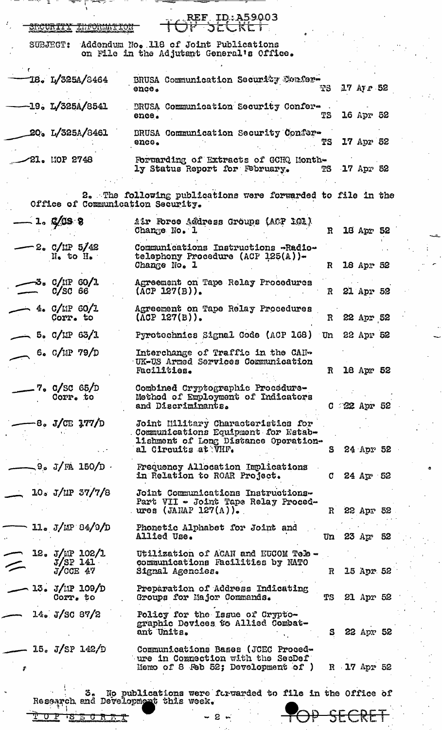| ਿਹਾ ਸਿੰਘ ਵਾਲੇ ਸੰਸਾਰ ਦੇ ਸ਼ਹਿਰ ਸਿੰਘ ਸੀ। ਇਸ ਦੇ ਸ਼ਹਿਰ ਸਿੰਘ ਸੀ। ਇਸ ਦੇ ਸ਼ਹਿਰ ਸਿੰਘ ਸੀ। ਇਸ ਦੇ ਸ਼ਹਿਰ ਸਿੰਘ ਸੀ। ਇਸ ਦੇ ਸ਼ਹ |                                                                                                                                          |              |                 |                |  |
|----------------------------------------------------------------------------------------------------------------|------------------------------------------------------------------------------------------------------------------------------------------|--------------|-----------------|----------------|--|
| SECURITY LUFORMATIO                                                                                            | REF_ID:A59003<br>サーカにしドヒー                                                                                                                |              |                 |                |  |
| <b>SUBJECT:</b>                                                                                                | Addendum No. 118 of Joint Publications<br>on File in the Adjutant General's Office.                                                      |              |                 |                |  |
| 18. L/325A/8464                                                                                                | BRUSA Communication Security Confer-<br>ence.                                                                                            | 73           |                 | $17$ Ay $r$ 52 |  |
| $-19. L/325A/8541$                                                                                             | BRUSA Communication Security Confer-<br>ence.                                                                                            | TS           |                 | 16 Apr 52      |  |
| 20. L/325A/8461                                                                                                | BRUSA Communication Security Confer-<br>enco <sub>o</sub>                                                                                | TS           |                 | 17 Apr 52      |  |
| 21. MOP 2748                                                                                                   | Forwarding of Extracts of GCHQ Month-<br>ly Status Report for February.                                                                  |              | TS 17 Apr 52    |                |  |
| Office of Communication Security.                                                                              | 2. The following publications were forwarded to file in the                                                                              |              |                 |                |  |
| $-1.9$ C/CS 8                                                                                                  | Air Force Address Groups (ACP 101)<br>Change No. 1                                                                                       | $\mathbf{R}$ |                 | 18 Apr 52      |  |
| $-2.$ C/IIP 5/42<br>No to He                                                                                   | Communications Instructions -Radio-<br>telephony Procedure (ACP 125(A))-<br>Change No. 1                                                 | $\mathbf R$  |                 | 18 Apr 52      |  |
| 5. C/IP 60/1<br>$C/SC$ 66                                                                                      | Agreement on Tape Relay Procedures<br>$(\text{ACP } 127(B))$ .                                                                           |              | R 21 Apr 52     |                |  |
| $-$ 4. C/MP 60/1<br>Corr. to                                                                                   | Agreement on Tape Relay Procedures<br>$(ACP 127(B))$ .                                                                                   |              | R 22 Apr 52     |                |  |
| $-$ 5. C/LIP 63/1                                                                                              | Pyrotechnics Signal Code (ACP 168) Un 22 Apr 52                                                                                          |              |                 |                |  |
| 6. $C/11P$ 79/D                                                                                                | Interchange of Traffic in the CAN-<br>UK-US Armed Services Communication<br>Fac111ties.                                                  | $\mathbf{R}$ |                 | 18 Apr 52      |  |
| 7. C/SC 65/D<br>Corr. to                                                                                       | Combined Cryptographic Procedure-<br>Method of Employment of Indicators<br>and Discriminants.                                            |              | $C = 22$ Apr 52 |                |  |
| $-8$ . J/CE 177/D                                                                                              | Joint Military Characteristics for<br>Communications Equipment for Estab-<br>lishment of Long Distance Operation-<br>al Circuits at VHF. | S            |                 | 24 Apr 52      |  |
| $\sim$ 9. J/FA 150/D $\cdot$                                                                                   | Frequency Allocation Implications<br>in Relation to ROAR Project.                                                                        |              | $C$ 24 Apr 52   |                |  |
| 10. J/IP 37/7/8                                                                                                | Joint Communications Instructions-<br>Part VII - Joint Tape Relay Proced-<br>ures (JANAP 127 $(A)$ ).                                    |              | R 22 Apr 52     |                |  |
| $11.5$ J/MP 84/9/D                                                                                             | Phonetic Alphabet for Joint and<br>Allied Use.                                                                                           |              | Un 23 $Ar$ 52   |                |  |
| 12. J/MP 102/1<br>$J/SP$ 141<br>$\!\!\mathrel{{\displaystyle\smile}}$<br>$J/\text{CCE}$ 47                     | Utilization of ACAN and EUCOM Tele -<br>communications Facilities by NATO<br>Signal Agencies.                                            |              | R 15 Apr 52     |                |  |
| 13. J/IP 109/D<br>Corr. to                                                                                     | Preparation of Address Indicating<br>Groups for Major Commands.                                                                          | TS           |                 | 21 Apr 52      |  |
| 14. J/SC 87/2                                                                                                  | Policy for the Issue of Crypto-<br>graphic Devices to Allied Combat-<br>ant Units.                                                       | S.           |                 | 22 Apr 52      |  |
| 15. J/SP 142/D<br>\$                                                                                           | Communications Bases (JCEC Proced-<br>ure in Commection with the SecDef<br>Momo of 8 Feb 52; Development of $)$                          |              | R 17 Apr 52     |                |  |
| 3.<br>Research and Development this week.                                                                      | No publications were forwarded to file in the Office of                                                                                  |              |                 |                |  |
| <u>IS E O R F T</u><br>r.                                                                                      | $2 \kappa$                                                                                                                               |              |                 |                |  |
|                                                                                                                |                                                                                                                                          |              |                 |                |  |

ina.<br>K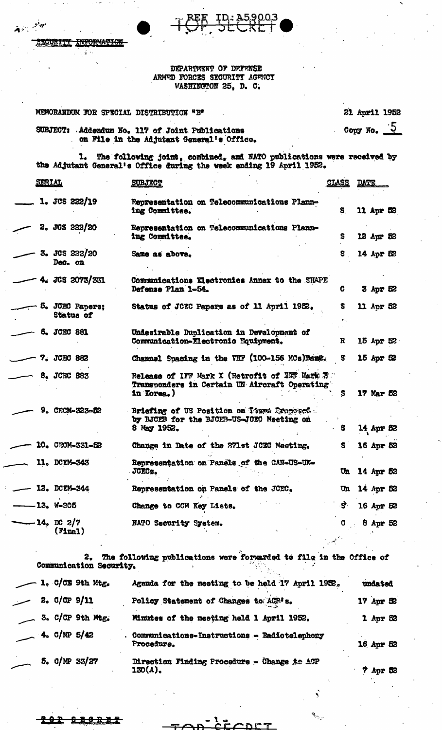**JURITY** INFORMATION ÷.

جأوب وتبع

### DEPARTMENT OF DEFENSE ARMED FORCES SECURITY AGENCY WASHINGTON 25, D. C.

| MEMORANDUM FOR SPECIAL DISTRIBUTION "B"                                                                | 21 April 1952          |
|--------------------------------------------------------------------------------------------------------|------------------------|
| Addendum No. 117 of Joint Publications<br><b>SUBJECT:</b><br>on File in the Adjutant General's Office. | Copy No. $\frac{1}{2}$ |

1. The following joint, combined, and NATO publications were received by the Adjutant General's Office during the week ending 19 April 1952.

| <u>SERIAL</u> |                              | <b>SUBJECT</b>                                                                                                | <b>CLASS</b> | <b>DATE</b> |              |  |
|---------------|------------------------------|---------------------------------------------------------------------------------------------------------------|--------------|-------------|--------------|--|
|               | $1.$ JCS 222/19              | Representation on Telecommunications Plann-<br>ing Committee.                                                 | S.           |             | 11 Apr 52    |  |
|               | 2. JCS 222/20                | Representation on Telecommunications Plann-<br>ing Committee.                                                 | S.           |             | 12 Apr 52    |  |
|               | 3. JCS 222/20<br>Dec. on     | Same as above.                                                                                                | S.           |             | 14 Apr 52    |  |
|               | 4. JCS 2073/331              | Communications Electronics Annex to the SHAPE<br>Defense Plan 1-54.                                           | C            |             | $3$ Apr $52$ |  |
|               | 5. JCEC Papers;<br>Status of | Status of JOEC Papers as of 11 April 1952.                                                                    | s            |             | 11 Apr 52    |  |
|               | 6. JCEC 881                  | Undesirable Duplication in Development of<br>Communication-Electronic Equipment.                              | $\mathbf{R}$ |             | 15 Apr 52    |  |
|               | 7. JCEC 882                  | Channel Spacing in the VHF (100-156 MCs) Bang.                                                                | S.           |             | 15 Apr 52    |  |
|               | 8. JCEC 883                  | Release of IFF Mark X (Retrofit of IEF Mark X)<br>Transponders in Certain UN Aircraft Operating<br>in Korea.) | S            |             | 17 Mar 52    |  |
|               | 9. CECM-323-52               | Briefing of US Position on Tooms Proposed<br>by BJCEB for the BJCEB-US-JGEC Meeting on<br>8 May 1952.         | S            |             | 14 Apr 52    |  |
|               | 10. CECM-331-52              | Change in Date of the 271st JCEC Meeting.                                                                     | S.           |             | 16 Apr 52    |  |
|               | 11. DCEM-343                 | Representation on Panels of the CAN-US-UK-<br><b>JCECs.</b>                                                   | $\mathbf{u}$ |             | 14 Apr 52    |  |
|               | 12. DCEM-344                 | Representation on Panels of the JCEC.                                                                         | Un           |             | 14 Apr 52    |  |
|               | -13. W-205                   | Change to CCM Key Lists.                                                                                      | S.           |             | 16 Apr 52    |  |
|               | -14. DC 2/7<br>$($ Final $)$ | NATO Security System.                                                                                         | G.           |             | $8$ Apr $52$ |  |

2. The following publications were forwarded to file in the Office of Communication Security.  $\mathcal{N}_{\mathcal{F},\mathcal{F}}$ 

|  |                     | 1. C/CE 9th Mtg.        | Agenda for the meeting to be held 17 April 1952.           |                   |
|--|---------------------|-------------------------|------------------------------------------------------------|-------------------|
|  | 2.00P9/11           |                         | Policy Statement of Changes to ACR's.                      | $17$ Apr $\infty$ |
|  |                     | $\sim$ 3. C/CP 9th Mtg. | Minutes of the meeting held 1 April 1952.                  | $1$ Apr $52$      |
|  | $\sim$ 4. C/MP 5/42 |                         | Communications-Instructions - Radiotelephony<br>Procedure. | 16 Apr 52         |
|  |                     | $5.$ C/NP 33/27         | Direction Finding Procedure - Change to ATP<br>ገደሰ(ል).     | <b>2 Ave R2</b>   |

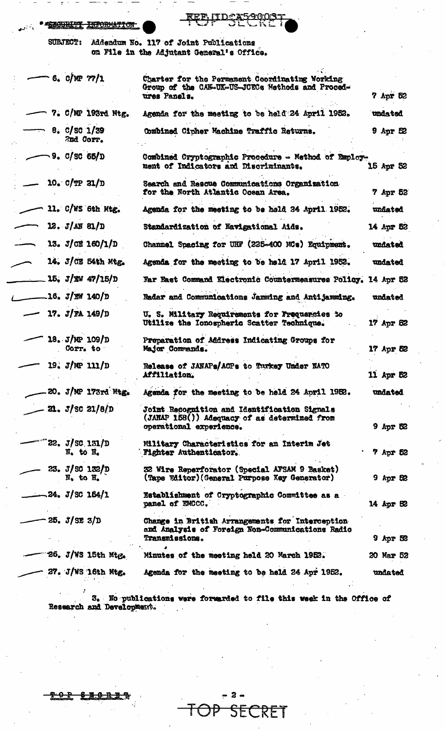| <b>I CORATTOPAN PURADILLERANE</b> |
|-----------------------------------|
| <b>ASIARE TO PARTNALLION</b>      |

<u>IIDCA5</u> 900  ${\tt I\!E}{\tt E}$ 

**SUBJECT:** Addendum No. 117 of Joint Publications on File in the Adjutant General's Office.

| 6.0/NP 77/1                                              | Charter for the Permanent Coordinating Working<br>Group of the CAN-UK-US-JCECs Methods and Proced-<br>ures Panels.             | 7 Apr 52        |
|----------------------------------------------------------|--------------------------------------------------------------------------------------------------------------------------------|-----------------|
| 7. C/MP 193rd Mtg.                                       | Agenda for the meeting to be held 24 April 1952.                                                                               | undated         |
| 8. C/SC 1/39<br>2nd Corr.                                | Combined Cipher Machine Traffic Returns.                                                                                       | $9$ Apr $52$    |
| 9. C / SC 65 / D                                         | Combined Cryptographic Procedure - Method of Employ-<br>ment of Indicators and Discriminants.                                  | 15 Apr 52       |
| 10. $C/TP$ 21/D                                          | Search and Rescue Communications Organization<br>for the North Atlantic Ocean Area.                                            | 7 Apr 52        |
| 11. C/WS 6th Mtg.                                        | Agenda for the meeting to be hold 24 April 1952.                                                                               | undated         |
| 12. J/M 81/D                                             | Standardization of Navigational Aids.                                                                                          | 14 Apr 52       |
| 13. $J$ CE 160/1/D                                       | Channel Spacing for UHF (225-400 MCs) Equipment.                                                                               | undated         |
| 14. J/CE 54th Mtg.                                       | Agenda for the meeting to be held 17 April 1952.                                                                               | undated         |
| 15, J/KW 47/15/D                                         | Far East Command Electronic Counterneasures Policy. 14 Apr 52                                                                  |                 |
| .16. <i>J/W</i> 140/D                                    | Radar and Communications Jamming and Antijamming.                                                                              | undated         |
| 17. $J/RA$ 149/D                                         | U. S. Military Requirements for Frequencies to<br>Utilize the Ionospheric Scatter Technique.                                   | 17 Apr 52       |
| 18. J/MP 109/D<br>Corr. to                               | Preparation of Address Indicating Groups for<br>Major Commands.                                                                | 17 Apr 52       |
| 19. $J/MP$ 111/D                                         | Release of JANAPs/ACPs to Turkey Under NATO<br>Affiliation.                                                                    | 11 Apr 52       |
| 20. J/NP 173rd Mtg.                                      | Agenda for the meeting to be held 24 April 1952.                                                                               | undated         |
| $21. J/\text{SC} 21/8/D$                                 | <b>Joint Recognition and Identification Signals</b><br>(JARAP 158()) Adequacy of as determined from<br>operational experience. | <b>9 Apr 52</b> |
| $22. J / \text{SC}$ 131/D<br>$N0$ to $H0$                | Military Characteristics for an Interim Jet<br><b>Fighter Authenticator.</b>                                                   | 7 Apr 52        |
| 23. $J/SC$ 132/D<br>$\overline{N}_0$ to $\overline{H}_0$ | 32 Wire Reperforator (Special AFSAM 9 Basket)<br>(Tape Editor) (General Purpose Key Generator)                                 | $9$ Apr 52      |
| $-24.$ J/SC 164/1                                        | Establishment of Cryptographic Committee as a<br>panel of EMCCC.                                                               | 14 Apr 52       |
| 25. J / SE 3/D                                           | Change in British Arrangements for Interception<br>and Analysis of Foreign Non-Communications Radio<br><b>Transmissions.</b>   | $9$ Apr $32$    |
| 26. J/WS 15th Mtg.                                       | Minutes of the meeting held 20 March 1952.                                                                                     | 20 Mar 52       |
| 27. J/WS 16th Mtg.                                       | Agenda for the meeting to be held 24 Apr 1952.                                                                                 | undated         |
|                                                          |                                                                                                                                |                 |

3. No publications were forwarded to file this week in the Office of Research and Development.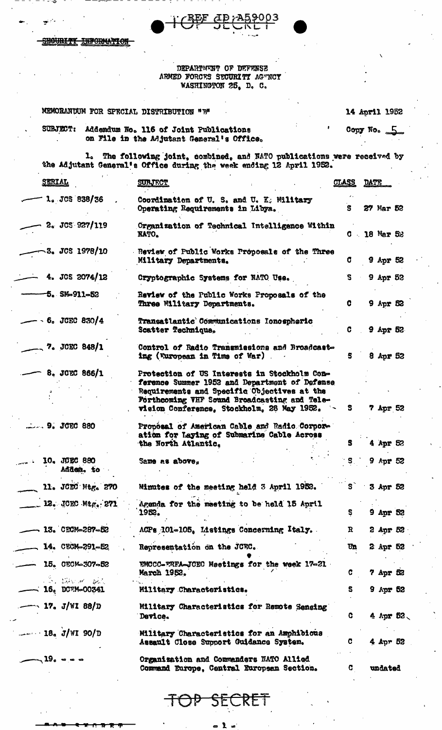**INFORMATION BOURITY** 

### DEPARTMENT OF DEFENSE ARMED FORCES SECURITY AGENCY WASHINGTON 25, D. C.

<u> : REF</u>

<u>dp<sub>i</sub>A59003</u>

| MEMORANDUM FOR SPECIAL DISTRIBUTION "B"      |                                                                                                                                                                                                                                            |                         | <b>14 April 1952</b>    |
|----------------------------------------------|--------------------------------------------------------------------------------------------------------------------------------------------------------------------------------------------------------------------------------------------|-------------------------|-------------------------|
| <b>SUBJECT:</b>                              | Addendum No. 116 of Joint Publications<br>on File in the Adjutant General's Office.                                                                                                                                                        |                         | Copy No. $\overline{5}$ |
| $\mathbf{1}_{\bullet}$                       | The following joint, combined, and NATO publications were received by<br>the Adjutant General's Office during the week ending 12 April 1952.                                                                                               |                         |                         |
| <b>STRIAL</b>                                | <b>SURJECT</b>                                                                                                                                                                                                                             | <u>CLASS</u>            | DATE                    |
| 1. JCS 838/36                                | Coordination of U.S. and U.K. Military<br>Operating Requirements in Libya.                                                                                                                                                                 | S.                      | 27 Mar 52               |
| 2. JCS 927/119                               | Organization of Technical Intelligence Within<br><b>KATO.</b>                                                                                                                                                                              |                         | $C = 18$ Mar 52         |
| <b>3. JCS 1978/10</b>                        | Review of Public Works Proposals of the Three<br>Military Departments.                                                                                                                                                                     | C.                      | 9 Apr 52                |
| 4. JCS $2074/12$                             | Cryptographic Systems for NATO Use.                                                                                                                                                                                                        | S.                      | $9$ Apr $52$            |
| $5.$ SM-911-52                               | Review of the Public Works Proposals of the<br>Three Willtary Departments.                                                                                                                                                                 | C                       | 9 Apr 52                |
| $6.$ JCEC 830/4                              | <b>Transatlantic Communications Ionospheric</b><br>Scatter Technique.                                                                                                                                                                      | C.                      | $9$ Apr 52              |
| 7. JCEC 848/1                                | Control of Radio Transmissions and Broadcast-<br>ing (European in Time of War)                                                                                                                                                             | S.                      | 8 Apr 52                |
| 8. JCEC 866/1                                | Protection of US Interests in Stockholm Con-<br>ference Summer 1952 and Department of Defense<br>Requirements and Specific Objectives at the<br>Forthcoming VHF Sound Broadcasting and Tele-<br>vision Conference, Stockholm, 28 May 1952. | S.                      | 7 Apr 52                |
| $9.$ JCEC 880                                | Proposal of American Cable and Radio Corpor-<br>ation for Laying of Submarine Cable Across<br>the North Atlantic.                                                                                                                          | S.                      | 4 Apr 52                |
| 10. JOEC 880<br>Adden. to                    | Same as above,                                                                                                                                                                                                                             | $^{\circ}$ S $^{\circ}$ | $9$ Apr 52              |
| 11. JCEC Mtg. 270                            | Minutes of the meeting held 3 April 1952.                                                                                                                                                                                                  | $\mathbf{s}^{\cdot}$    | 3 Apr 52                |
| __ 12. JOEC Mtg. 271                         | Agenda for the meeting to be held 15 April<br>1952.                                                                                                                                                                                        | S.                      | 9 Apr 52                |
| $-13.$ CECM-287-52                           | ACPs 101-105. Listings Concerning Italy.                                                                                                                                                                                                   | R                       | 2 Apr 52                |
| 14. CECM-291-52                              | Representation on the JCEC.                                                                                                                                                                                                                | Un                      | 2 Apr 52                |
| $-$ 15. CECM-307-52                          | EMCCC-FRFA-JCEC Meetings for the week 17-21<br>March 1952.                                                                                                                                                                                 | G.                      | $7$ Apr 52              |
| <b>CONTRACTOR DELL</b><br>$-$ 16. DCTM-00341 | Military Characteristics.                                                                                                                                                                                                                  | s                       | 9 Apr 52                |
| $-$ 17. J/WI 88/D                            | Military Characteristics for Remote Sensing<br>Device.                                                                                                                                                                                     | C.                      | 4 Apr $52$              |
| $  18$ J/WI 90/D                             | Military Characteristics for an Amphibious<br>Assault Close Support Guidance System.                                                                                                                                                       | C.                      | 4 Apr 52                |
| $-19.0000$                                   | Organization and Commanders NATO Allied<br>Command Europe, Central European Section.                                                                                                                                                       | C.                      | undated                 |

FRE  $\mathcal{P}$ ┪ 2E1

> $\pmb{\lambda}$ 8

 $\bullet$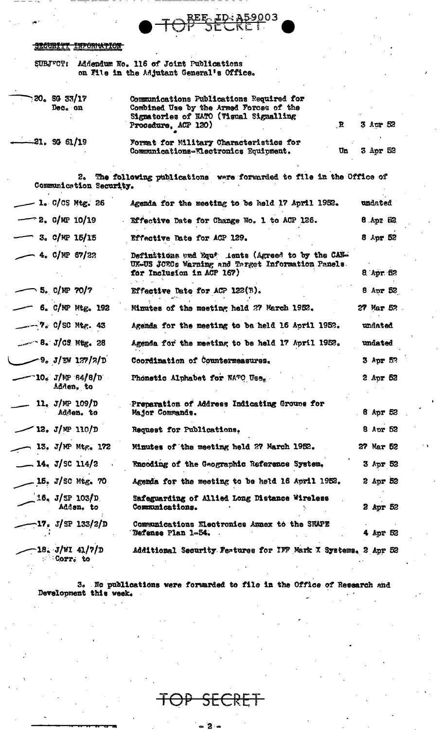#### **INFORMATION** <del>IRCURTYT</del>

|  | SUBJECT: Addendum No. 116 of Joint Publications |
|--|-------------------------------------------------|
|  | on File in the Adjutant General's Office.       |

| 720. SG 33/17<br>Dec. on              | Communications Publications Required for<br>Combined Use by the Armed Forces of the<br>Signatories of NATO (Visual Signalling<br>$\mathbf{R}$<br>Procedure, ACP 120) | 3 Apr 52            |
|---------------------------------------|----------------------------------------------------------------------------------------------------------------------------------------------------------------------|---------------------|
| $-21.$ SG 61/19                       | Format for Military Characteristics for<br>Communications-Electronics Equipment.<br>Un                                                                               | 3 Apr 52            |
| 2.<br>Communication Security.         | The following publications were forwarded to file in the Office of                                                                                                   |                     |
| $-$ 1. C/CS Mtg. 26                   | Agenda for the meeting to be held 17 April 1952.                                                                                                                     | undated             |
| $-$ 2. C/MP 10/19                     | Effective Date for Change No. 1 to ACP 126.                                                                                                                          | S3 xgA. 8           |
| $-$ 3. C/MP 15/15                     | Effective Date for ACP 129.                                                                                                                                          | 8 Apr 52            |
| $-4.$ C/NP 67/22                      | Definitions and Equipe lents (Agreed to by the CAN-<br>UK-US JORCs Warning and Target Information Panels.<br>for Inclusion in ACP 167)                               | $8 \text{ Apr } 52$ |
| 5. $C/NP$ 70/7                        | Effective Date for ACP $122(B)$ .                                                                                                                                    | 8 Apr $52$          |
| $-$ 6. C/NP Mtg. 192                  | Minutes of the meeting held 27 March 1952.                                                                                                                           | 27 Mar 52           |
| $-2$ $-2$ $\circ$ C/SC Mtg. 43        | Agenda for the meeting to be held 16 April 1952.                                                                                                                     | undated             |
| $-$ 8. J/C9 Mtg. 28                   | Agenda for the meeting to be held 17 April 1952.                                                                                                                     | undated.            |
| $-9.3$ /EW 127/2/D                    | Coordination of Countermeasures.                                                                                                                                     | 3 Apr 52            |
| - 10. J/MP 84/8/D<br>Adden, to        | Phonetic Alphabet for NATO Uses                                                                                                                                      | 2 Apr 52            |
| 11. $J/MP$ 109/D<br>Adden. to         | Preparation of Address Indicating Grouns for<br>Major Commands.                                                                                                      | 8 Apr $52$          |
| $-12. J/m 110/D$                      | Request for Publications.                                                                                                                                            | 8 Apr 52            |
| 13. J/MP Mtg. $172$                   | Minutes of the meeting held 27 March 1952.                                                                                                                           | 27 Mar 52           |
| $-14. J/SC 114/2$                     | Encoding of the Geographic Reference System.                                                                                                                         | 3 Apr 52            |
| $-15.$ J/SC Mtg. 70                   | Agenda for the meeting to be held 16 April 1952.                                                                                                                     | 2 Apr 52            |
| $1.6.$ J/SP 103/D<br>Adden, to        | Safeguarding of Allied Long Distance Wireless<br>Communications.                                                                                                     | 2 Apr 52            |
| —17. J/SP 133/2/D                     | Communications Electronics Annex to the SHAPE<br>Defense Plan 1-54.                                                                                                  | 4 Apr 52            |
| $-18. J/WI 41/7/D$<br><b>Corr.</b> to | Additional Security Features for IFF Mark X Systems, 2 Apr 52                                                                                                        |                     |

ID: A59003

REE

3. No publications were forwarded to file in the Office of Research and Development this week.

╉ SECRI 尹

 $-2-$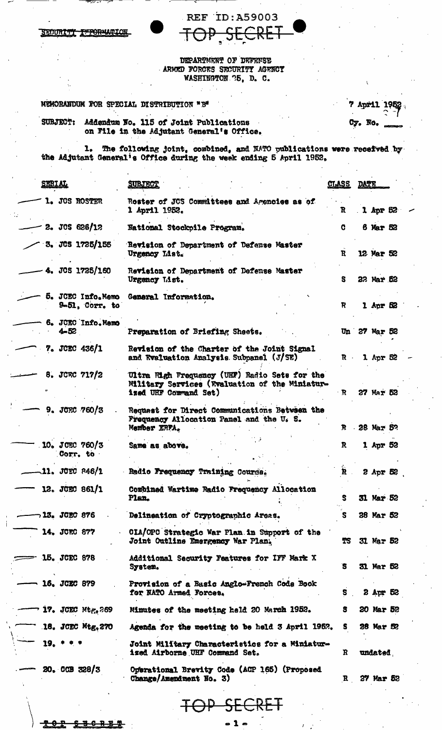**REF ID:A59003** <u>ARET</u> TOP

DEPARTMENT OF DEFENSE ARMED FORCES SECURITY AGENCY WASHINGTON 75, D. C.

MEMORANDUM FOR SPECIAL DISTRIBUTION "B"

SECURITY INFORMATION

|  |         | 7 April 1952    |
|--|---------|-----------------|
|  | Cy. No. | <b>CONTRACT</b> |

Addendum No. 115 of Joint Publications<br>on File in the Adjutant General's Office. SUBJECT:

1. The following joint, combined, and NATO publications were received by the Adjutant General's Office during the week ending 5 April 1952.

| <b>SERIAL</b>                  | <b>SUBJECT</b>                                                                                                           | <u>CTASS</u> | <b>DATE</b> |                  |  |
|--------------------------------|--------------------------------------------------------------------------------------------------------------------------|--------------|-------------|------------------|--|
| 1. JOS ROSTER                  | Roster of JCS Committees and Agencies as of<br>1 April 1952.                                                             | R            |             | $1$ Apr $52$     |  |
| $2.$ JCS 626/12                | National Stockpile Program.                                                                                              | G            |             | 6 Mar 52         |  |
| 3. JCS 1725/155                | Revision of Department of Defense Master<br>Urgency List.                                                                | R            |             | 12 Mar 52        |  |
| 4. JOS 1725/160                | Revision of Department of Defense Master<br>Urgency List.                                                                | S            |             | 22 Mar 52        |  |
| 9-51, Corr. to                 | 5. JCEC Info.Memo General Information.                                                                                   | R            |             | $1$ Apr $62$     |  |
| 6. JCEC Info. Memo<br>$4 - 52$ | Preparation of Briefing Sheets.                                                                                          |              |             | Un 27 Mar 52     |  |
| 7. JCEC 436/1                  | Revision of the Charter of the Joint Signal<br>and Evaluation Analysis Subpanel (J/SE)                                   | $\mathbf{R}$ |             | 1 Apr $52$       |  |
| 8. JCRC $717/2$                | Ultra High Frequency (UHF) Radio Sets for the<br>Military Services (Wealuation of the Miniatur-<br>ized UHF Commund Set) | $\mathbf{R}$ |             | 27 Mar 52        |  |
| 9. JCEC 760/3                  | Request for Direct Communications Between the<br>Frequency Allocation Panel and the U. S.<br>Member ERFA.                |              |             | R . 28 Mar 5?    |  |
| 10. JOEC 760/3<br>Corr. to     | Same as above.                                                                                                           | $\mathbf{R}$ |             | 1 Apr 52         |  |
| $-11.$ JCEC 846/1              | Radio Frequency Training Course.                                                                                         | Ř            |             | $2$ Apr $52$     |  |
| 12. JCEC 861/1                 | Combined Wartime Radio Frequency Allocation<br>Plan.                                                                     | s            |             | <b>31 Mar 52</b> |  |
| ¬13. JCEC 876                  | Delineation of Cryptographic Areas.                                                                                      | S.           |             | 28 Mar 52        |  |
| 14. JCEC 877                   | CIA/OPC Strategic War Plan in Support of the<br>Joint Outline Emergency War Plan.                                        | TS           |             | 31 Mar 52        |  |
| $\equiv$ 15. JCEC 878          | Additional Security Features for IFF Mark X<br>System.                                                                   | `S           |             | 31 Mar 52        |  |
| 16. JCEC 879                   | Provision of a Basic Anglo-French Code Book<br>for NATO Armed Forces.                                                    | s            |             | $2$ Apr 52       |  |
| <b>17. JCEC Mtg.269</b>        | Minutes of the meeting held 20 March 1952.                                                                               | s            |             | 20 Mar 52        |  |
| 18. JCEC Mtg.270               | Agenda for the meeting to be held 3 April 1952.                                                                          | S.           |             | 28 Mar 52        |  |
| $19. * * *$                    | Joint Military Characteristics for a Miniatur-<br>ized Airborne UHF Command Set.                                         | R            |             | undated.         |  |
| 20.009328/3                    | Operational Brevity Code (ACP 165) (Proposed<br>Change/Amendment No. 3)                                                  | $\mathbf{R}$ |             | <b>27 Mar 52</b> |  |
|                                | P SECRET                                                                                                                 |              |             |                  |  |

<del>경 6</del> -8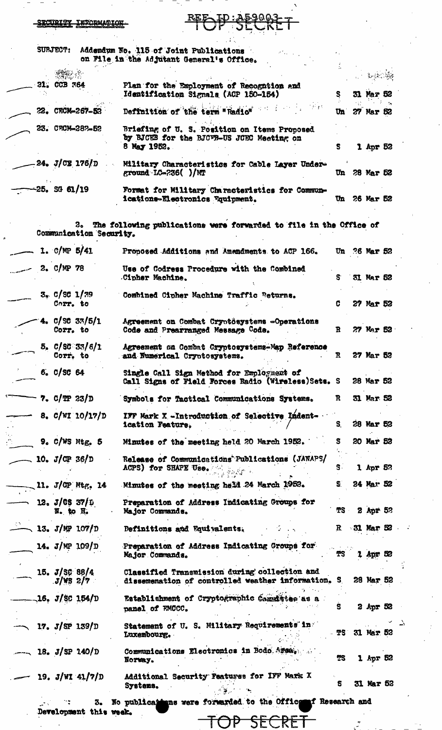#### **INFORMATION** CURITY

**REE** 

Ş

 $\mathbf{u}$ 

 $\mathcal{F}^{\mathcal{G}}$  ,  $\mathcal{C}$ 

31 Mar

27 Mar 52

52  $\ddot{\phantom{a}}$ 

 $\frac{1}{2}$ 

 $\Delta$ 

| 21. CCB 364<br>Plan for the Employment of Recognition and | Addendum No. 115 of Joint Publications<br>antico de<br>on File in the Adjutant General's Office. |
|-----------------------------------------------------------|--------------------------------------------------------------------------------------------------|
|                                                           |                                                                                                  |
| Identification Signals (ACP 150-154)                      |                                                                                                  |
| 22. CECM-267-52<br>Definition of the term "Radio"         |                                                                                                  |

| CO. UKUM-287-52         | Briefing of U. S. Position on Items Proposed<br>by BJCEB for the BJCFB-US JCEC Meeting on<br>8 May 1952. |    | 1 Apr 52  |  |
|-------------------------|----------------------------------------------------------------------------------------------------------|----|-----------|--|
| -24. <i>J/C</i> E 176/D | Military Characteristics for Cable Layer Under-<br>ground LC-236( )/MT                                   | Un | 28 Mar 52 |  |
|                         |                                                                                                          |    |           |  |

Formet for Military Characteristics for Commun-ications-Electronics Equipment. **PT\TA** Un 26 Mar 52

2. The following publications were forwarded to file in the Office of Communication Security.

|  | $-1.$ C/MP 5/41                 | Proposed Additions and Amendments to ACP 166.                                                       |              | Un 26 Mar 52 |    |
|--|---------------------------------|-----------------------------------------------------------------------------------------------------|--------------|--------------|----|
|  | $-2.$ C/NP 78                   | Use of Codress Procedure with the Combined<br>Cipher Machine.                                       | S.           | 31 Mar 52    |    |
|  | 3. C / SC 1 / 39<br>Corr. to    | Combined Cipher Machine Traffic Returns.                                                            | c            | 27 Mar 52    |    |
|  | 4. $C/5C$ 33/5/1<br>Corr. to    | Agreement on Combat Cryotösystems -Operations<br>Code and Prearranged Message Code.                 | $\mathbf{R}$ | 27 Mar 52    |    |
|  | 5. C/SC 33/6/1<br>Corr. to      | Agreement on Combat Cryptosystems-Map Reference<br>and Numerical Cryptosystems.                     | R            | 27 Mar 52    |    |
|  | $6.0$ /SC 64                    | Single Call Sign Method for Employment of<br>Call Signs of Field Forces Radio (Wireless) Sets. S    |              | 28 Mar 52    |    |
|  | 7. $C/TP 23/D$                  | Symbols for Tactical Communications Systems.                                                        | R            | 31 Mar 52    |    |
|  | 8. $C/WI$ 10/17/D               | IFF Mark X -Introduction of Selective Indent-<br>ication Feature.                                   | S.           | 28 Mar 52    |    |
|  | $9.$ C/WS Mtg. $5$              | Minutes of the meeting held 20 March 1952.                                                          | s            | 20 Mar 52    |    |
|  | 10. $J/\text{CP } 36/\text{D}$  | Release of Communications Publications (JANAPS/<br>ACPS) for SHAPE Use.                             | S.           | $1$ Apr 5?   |    |
|  | 11. J/OP Mtg. 14                | Minutes of the meeting held 24 March 1952.                                                          | S.           | 24 Mar 52    |    |
|  | 12. $J/\cos 37/\pi$<br>N. to H. | Preparation of Address Indicating Groups for<br>Major Commands.                                     | TS .         | 2 Apr 52     |    |
|  | $\sim$ 13. J/MP 107/D           | Definitions and Equivalents.                                                                        |              | R 31 Mar 52  |    |
|  | 14. $J/MP$ 109/D                | Preparation of Address Indicating Groups for<br>Major Commands.                                     |              | Apr:         | 52 |
|  | 15. $J/$ SC 88/4<br>$J/VS$ 2/7  | Classified Transmission during collection and<br>dissemenation of controlled weather information. S |              | 28 Mar 52    |    |
|  | $-16.$ J/SC 154/D               | Establishment of Cryptographic Commistee as<br>panel of FMCCC.                                      | s            | $2$ Apr 52   |    |
|  | $\sim$ 17. J/SP 139/D           | Statement of U. S. Military Requirements in<br>Luxembourg.                                          | TS I         | 31 Mar 52    |    |
|  | $-18. J/SP 140/D$               | Communications Electronics in Bodo Arca.<br>Norway.                                                 | TS.          | 1 Apr 52     |    |
|  | 19. $J/WI$ 41/7/D               | Additional Security Features for IFF Mark X<br>Systems.                                             | S            | 31 Mar 52    |    |
|  | з.                              | No publications were forwarded to the Office of Research and                                        |              |              |    |
|  | Development this week.          | <del>)P SECRET</del>                                                                                |              |              |    |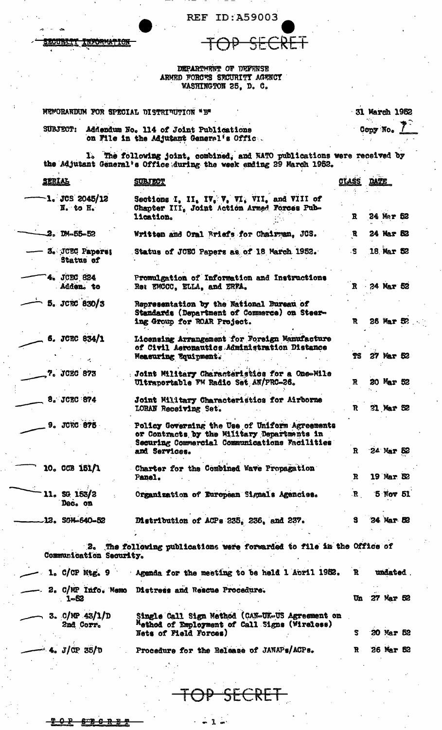REF ID:A59003

 $\partial P$ 

SECRET

CURTI INFORMATION

DEPARTMENT OF DEFENSE<br>ARMED FORCTS SECURITY AGENCY<br>WASHINGTON 25, D. C.

| SUBJECT:                      | Addendum No. 114 of Joint Publications<br>on File in the Adjutant General's Offic.                                                                              |                   | Copy No.         |
|-------------------------------|-----------------------------------------------------------------------------------------------------------------------------------------------------------------|-------------------|------------------|
|                               | 1. The following joint, combined, and WATO publications were received by<br>the Adjutant General's Office during the week ending 29 March 1952.                 |                   |                  |
| SERIAL                        | <b>SUBJECT</b>                                                                                                                                                  | <u>CLASS</u> DATE |                  |
| $-1.$ JCS 2045/12<br>N. to H. | Sections I, II, IV, V, VI, VII, and VIII of<br>Chapter III, Joint Action Armed Forces Pub-<br>lication.                                                         | R.                | 24 Mar 52        |
| $2.$ DM-55-52                 | Written and Oral Briefs for Chairman, JCS.                                                                                                                      | R                 | 24 Mar 52        |
| 3. JCEC Paperes<br>Status of  | Status of JCEC Papers as of 18 March 1952.                                                                                                                      | $\cdot$ S         | 18 Mar 52        |
| 4. JCEC 824<br>Adden. to      | Promulgation of Information and Instructions<br>Re: EMCCC, ELLA, and ERFA.                                                                                      | $\mathbf{R}$      | 24 Mar 52        |
| 5. JCRC 830/3                 | Representation by the National Bureau of<br>Standards (Department of Commerce) on Steer-<br>ing Group for ROAR Project.                                         | R                 | 26 Mar 52        |
| 6. JCEC 834/1                 | Licensing Arrangement for Foreign Manufacture<br>of Civil Aeronautics Administration Distance<br>Measuring Equipment.                                           | TS.               | 27 Mar 52        |
| 7. JCEC 873                   | : Joint Military Characteristics for a One-Mile<br>Ultraportable FM Radio Set AN/PRC-26.                                                                        | R                 | 20 Mar 52        |
| 8. JCEC 874                   | Joint Military Characteristics for Airborne<br>LORAN Receiving Set.                                                                                             | R.                | 31 Mar 52        |
| <b>9. JORC 875</b>            | Policy Governing the Use of Uniform Agreements<br>or Contracts by the Military Departments in<br>Securing Commercial Communications Facilities<br>and Services. | $\mathbf{R}$      | 24 Mar 52        |
| 10. CCB 151/1                 | Charter for the Combined Wave Propagation<br>Panel.                                                                                                             | R                 | 19 Mar. 52       |
| 11, SG 153/2<br>Dec. on       | Organization of European Signals Agencies.                                                                                                                      | $\mathbf{R}$      | 5 Nov 51         |
| $12.$ SGM-640-52              | Distribution of ACPs 235, 236, and 237.                                                                                                                         | s.                | <b>24 Mar 52</b> |
| Communication Security.       | 2. The following publications were forwarded to file in the Office of                                                                                           |                   |                  |
| $1.$ C/CP Mtg. 9              | Agenda for the meeting to be held 1 April 1952.                                                                                                                 | R                 | undated.         |
| 1-52                          | 2. C/MP Info. Memo Distress and Rescue Procedure.                                                                                                               | Un                | 27 Mar 52        |
| 3. $C/MP$ 43/1/D<br>2nd Corr. | Single Call Sign Method (CAN-UK-US Agreement on<br>Method of Employment of Call Signs (Wireless)<br>Nets of Field Forces)                                       | S                 | 20 Mar 52        |
|                               |                                                                                                                                                                 |                   |                  |

SECRET

 $-1 -$ 

 $8T + 0$ ₽